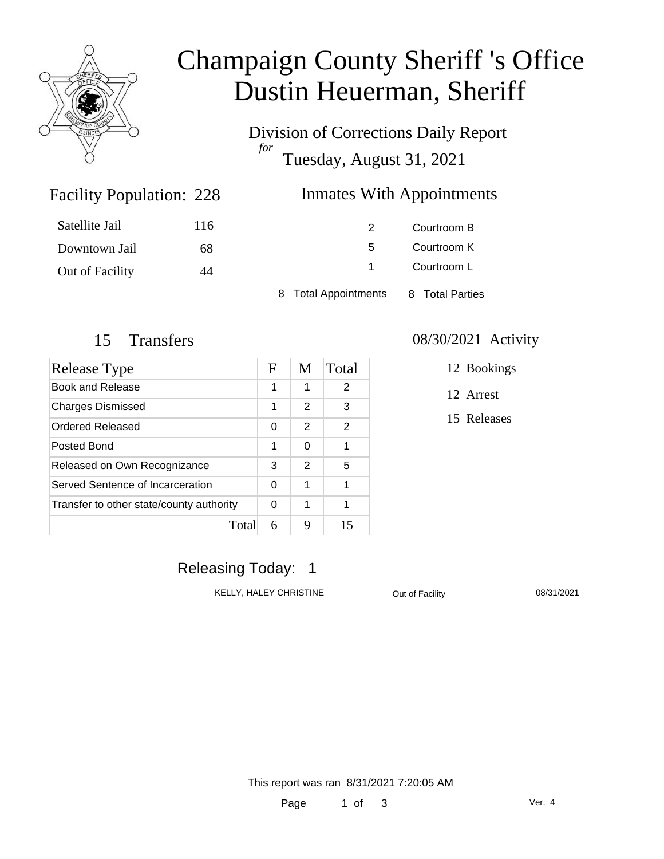

# Champaign County Sheriff 's Office Dustin Heuerman, Sheriff

Division of Corrections Daily Report *for* Tuesday, August 31, 2021

### Inmates With Appointments

| Satellite Jail         | 116 |                      | Courtroom B     |
|------------------------|-----|----------------------|-----------------|
| Downtown Jail          | 68  | 5.                   | Courtroom K     |
| <b>Out of Facility</b> | 44  |                      | Courtroom L     |
|                        |     | 8 Total Appointments | 8 Total Parties |

Facility Population: 228

| Release Type                             | F | M             | Total         |
|------------------------------------------|---|---------------|---------------|
| Book and Release                         | 1 | 1             | 2             |
| <b>Charges Dismissed</b>                 |   | 2             | 3             |
| Ordered Released                         | 0 | 2             | $\mathcal{P}$ |
| Posted Bond                              | 1 | $\Omega$      | 1             |
| Released on Own Recognizance             |   | $\mathcal{P}$ | 5             |
| Served Sentence of Incarceration         |   | 1             | 1             |
| Transfer to other state/county authority |   | 1             | 1             |
| Total                                    | 6 | 9             | 15            |

#### 15 Transfers 08/30/2021 Activity

12 Bookings

12 Arrest

15 Releases

## Releasing Today: 1

KELLY, HALEY CHRISTINE **Out of Facility** 08/31/2021

This report was ran 8/31/2021 7:20:05 AM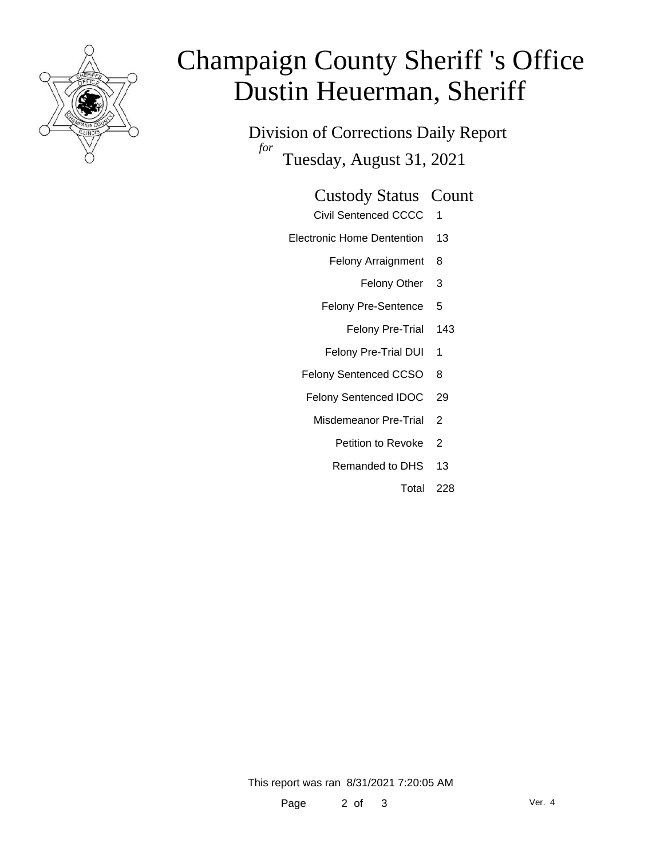

# Champaign County Sheriff 's Office Dustin Heuerman, Sheriff

Division of Corrections Daily Report *for* Tuesday, August 31, 2021

#### Custody Status Count

- Civil Sentenced CCCC 1
- Electronic Home Dentention 13
	- Felony Arraignment 8
		- Felony Other 3
	- Felony Pre-Sentence 5
		- Felony Pre-Trial 143
	- Felony Pre-Trial DUI 1
	- Felony Sentenced CCSO 8
	- Felony Sentenced IDOC 29
		- Misdemeanor Pre-Trial 2
			- Petition to Revoke 2
			- Remanded to DHS 13
				- Total 228

This report was ran 8/31/2021 7:20:05 AM